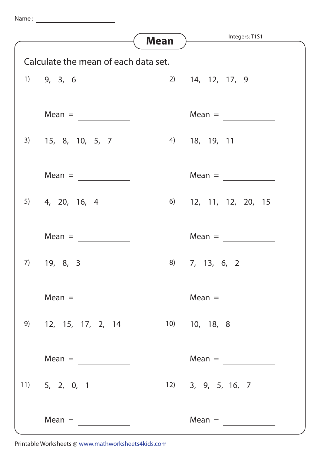Name :



Printable Worksheets @ www.mathworksheets4kids.com